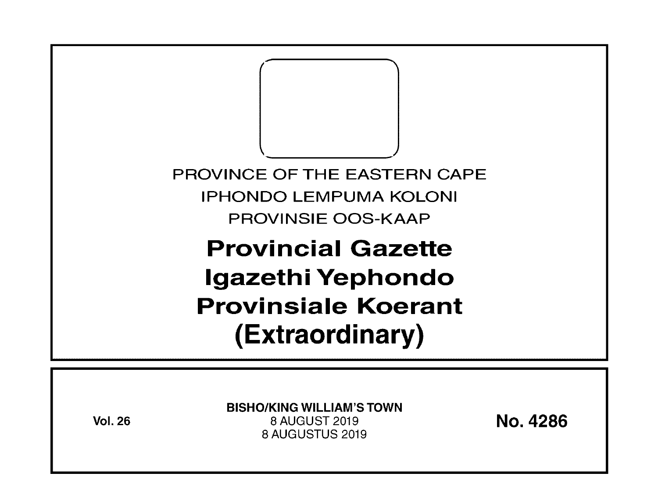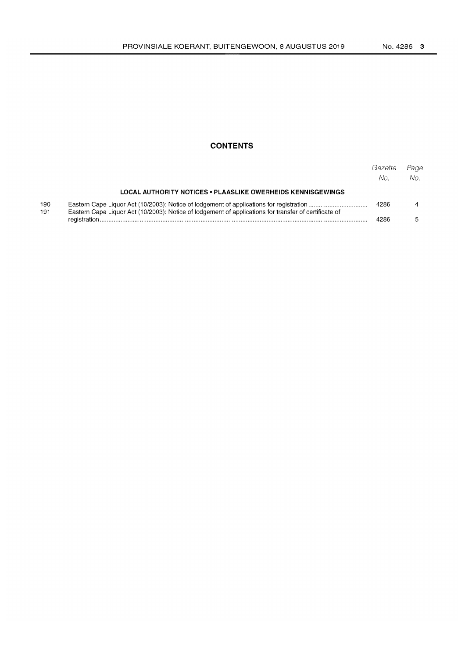### **CONTENTS**

|            |                                                                                                       | Gazette<br>No. | Page<br>No. |
|------------|-------------------------------------------------------------------------------------------------------|----------------|-------------|
|            | LOCAL AUTHORITY NOTICES . PLAASLIKE OWERHEIDS KENNISGEWINGS                                           |                |             |
| 190<br>191 | Eastern Cape Liquor Act (10/2003): Notice of lodgement of applications for transfer of certificate of | 4286           |             |
|            |                                                                                                       | 4286           |             |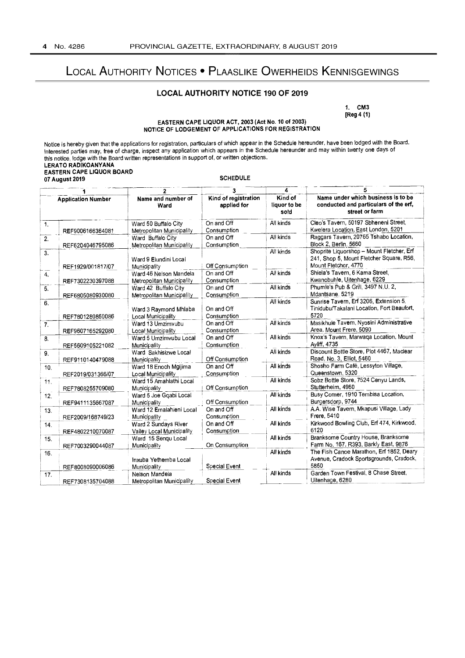# **LOCAL AUTHORITY NOTICES • PLAASLIKE OWERHEIDS KENNISGEWINGS**

#### **LOCAL AUTHORITY NOTICE 190 OF 2019**

**1. CM3**  [Reg 4 (1)

#### **EASTERN CAPE LIQUOR ACT, 2003 (Act No. 10 of 2003) NOTICE OF LODGEMENT OF APPLICATIONS FOR REGISTRATION**

Notice is hereby given that the applications for registration, particulars of which appear in the Schedule hereunder, have been lodged with the Board. Interested parties may, free of charge, inspect any application which appears in the Schedule hereunder and may within twenty one days of this notice, lodge with the Board written representations in support of, or written objections. **LERATO RADIKOANYANA EASTERN CAPE LIQUOR BOARD 07 August 2019** SCHEDULE

|                           |                   | 2                                                                 | 3                         | 4                               | 5                                                                                                             |  |
|---------------------------|-------------------|-------------------------------------------------------------------|---------------------------|---------------------------------|---------------------------------------------------------------------------------------------------------------|--|
| <b>Application Number</b> |                   | Kind of registration<br>Name and number of<br>applied for<br>Ward |                           | Kind of<br>liquor to be<br>sold | Name under which business is to be<br>conducted and particulars of the erf,<br>street or farm                 |  |
| 1.                        | REF9006166364081  | Ward 50 Buffalo City<br>Metropolitan Municipality                 | On and Off<br>Consumption | All kinds                       | Cleo's Tavern, 50197 Sbheneni Street,<br>Kwelera Location, East London, 5201                                  |  |
| 2.                        | REF6204046795086  | Ward Buffalo City<br>Metropolitan Municipality                    | On and Off<br>Consumption | All kinds                       | Raggars Tayern, 20765 Tshabo Location,<br>Block 2, Berlin, 5660                                               |  |
| 3.                        | REF1929/001817/07 | Ward 9 Elundini Local<br>Municipality                             | Off Consumption           | All kinds                       | Shoprite Liquorshop - Mount Fletcher, Erf<br>241, Shop 5, Mount Fletcher Square, R56,<br>Mount Fletcher, 4770 |  |
| 4.                        | REF7302230397088  | Ward 46 Nelson Mandela<br>Metropolitan Municipality               | On and Off<br>Consumption | All kinds                       | Shiela's Tavern, 6 Kama Street,<br>Kwanobuhle, Uitenhage, 6229                                                |  |
| 5.                        | REF6805080930080  | Ward 42 Buffalo City<br>Metropolitan Municipality                 | On and Off<br>Consumption | All kinds                       | Phumie's Pub & Grill, 3497 N.U. 2,<br>Mdantsane, 5219                                                         |  |
| 6.                        | REF7801280850086  | Ward 3 Raymond Mhlaba<br>Local Municipality                       | On and Off<br>Consumption | All kinds                       | Sunrise Tavern, Erf 3206, Extension 5,<br>Tinidubu/Takalani Location, Fort Beaufort,<br>5720                  |  |
| 7 <sub>1</sub>            | REF9607165292080  | Ward 13 Umzimvubu<br>Local Municipality                           | On and Off<br>Consumption | All kinds                       | Masikhule Tavern, Nyosini Administrative<br>Area, Mount Frere, 5090                                           |  |
| 8.                        | REF5609105221082  | Ward 5 Umzimvubu Local<br>Municipality                            | On and Off<br>Consumption | All kinds                       | Knox's Tavern, Marwaqa Location, Mount<br>Ayliff, 4735                                                        |  |
| 9.                        | REF9110140479088  | Ward Sakhisizwe Local<br>Municipality                             | Off Consumption           | All kinds                       | Discount Bottle Store, Plot 4467, Maclear<br>Road, No. 3, Elliot, 5460                                        |  |
| 10.                       | REF2019/031366/07 | Ward 18 Enoch Mgijima<br>Local Municipality                       | On and Off<br>Consumption | All kinds                       | Shosho Farm Café, Lessyton Village,<br>Queenstown, 5320                                                       |  |
| 11.                       | REF7808255709080  | Ward 15 Amahlathi Local<br>Municipality                           | Off Consumption           | All kinds                       | Sobz Bottle Store, 7524 Cenyu Lands,<br>Stutterheim, 4960                                                     |  |
| 12.                       | REF9411135667087  | Ward 5 Joe Gqabi Local<br>Municipality                            | Off Consumption           | All kinds                       | Busy Corner, 1910 Tembisa Location,<br>Burgersdorp, 9744                                                      |  |
| 13.                       | REF2009/168749/23 | Ward 12 Emalahieni Local<br><b>Municipality</b>                   | On and Off<br>Consumption | All kinds                       | A.A. Wise Tavern, Mkapusi Village, Lady<br>Frere, 5410                                                        |  |
| 14.                       | REF4802210070087  | Ward 2 Sundays River<br>Valley Local Municipality                 | On and Off<br>Consumption | All kinds                       | Kirkwood Bowling Club, Erf 474, Kirkwood,<br>6120                                                             |  |
| 15.                       | REF7003290044087  | Ward 15 Sengu Local<br>Municipality                               | On Consumption            | All kinds                       | Branksome Country House, Branksome<br>Farm No. 167, R393, Barkly East, 9876                                   |  |
| 16.                       | REF8008090006086  | Inxuba Yethemba Local<br>Municipality                             | Special Event             | All kinds                       | The Fish Canoe Marathon, Erf 1852, Deary<br>Avenue, Cradock Sportsgrounds, Cradock,<br>5850                   |  |
| 17.                       | REF7308135704088  | Nelson Mandela<br>Metropolitan Municipality                       | Special Event             | All kinds                       | Garden Town Festival, 8 Chase Street,<br>Uitenhage, 6280                                                      |  |